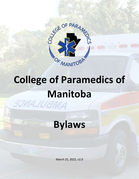

# **College of Paramedics of Manitoba**<br>FOMA WEMMA



March 25, 2022, v2.0

GRU 120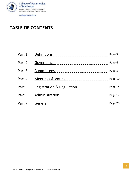

# **TABLE OF CONTENTS**

| Part 1 | <b>Definitions</b>           | Page 3  |
|--------|------------------------------|---------|
| Part 2 | Governance                   | Page 4  |
| Part 3 | Committees                   | Page 8  |
| Part 4 | <b>Meetings &amp; Voting</b> | Page 10 |
| Part 5 | Registration & Regulation    | Page 14 |
| Part 6 | Administration               | Page 17 |
| Part 7 | General                      | Page 20 |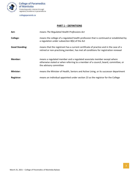

# **PART 1 – DEFINITIONS**

<span id="page-2-0"></span>

| Act:                  | means The Regulated Health Professions Act                                                                                                                                            |  |
|-----------------------|---------------------------------------------------------------------------------------------------------------------------------------------------------------------------------------|--|
| College:              | means the college of a regulated health profession that is continued or established by<br>a regulation under subsection 8(b) of the Act                                               |  |
| <b>Good Standing:</b> | means that the registrant has a current certificate of practice and in the case of a<br>retired or non-practising member, has met all conditions for registration renewal             |  |
| Member:               | means a regulated member and a regulated associate member except where<br>otherwise stated or when referring to a member of a council, board, committee, or<br>the advisory committee |  |
| <b>Minister:</b>      | means the Minister of Health, Seniors and Active Living, or its successor department                                                                                                  |  |
| Registrar:            | means an individual appointed under section 23 as the registrar for the College                                                                                                       |  |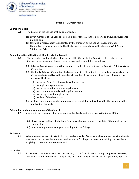

# **PART 2 – GOVERNANCE**

# <span id="page-3-0"></span>**Council Members**

- **2.1** The Council of the College shall be comprised of:
	- (a) seven members of the College selected in accordance with these bylaws and Council governance policies; and
	- (b) four public representatives appointed by the Minister, or the Council's Appointments Committee, as may be permitted by the Minister in accordance with sub-sections 13(2), and 13(3) of the Act.

# **Competency Based Election of Members to the Council**

- **2.2** The procedure for the election of members of the College to the Council must comply with the College's governance policies and these bylaws, and is established as follows:
	- (a) filling of Council vacancies will be conducted under the authority of the Council's Public Advisory Committee.
	- (b) the Public Advisory Committee shall cause a Notice of Election to be posted electronically on the College website and issued by email to all members in November of each year, if needed the notice will include:
		- (i) the vacant Council positions eligible for election;
		- (ii) the application procedures;
		- (iii) the closing date for receipt of applications;
		- (iv) the competency-based election guidelines; and,
		- (v) the closing dates for application;
		- (vi) the date of the election; and,
	- (c) all forms and supporting documents are to be completed and filed with the College prior to the application closing date.

# **Criteria for candidacy for member of the Council**

- **2.3** Any practising, non-practising or retired member is eligible for election to the Council if they:
	- (a) have been a resident of Manitoba for at least six months prior to the date of their application submission;
	- (b) are currently a member in good standing with the College;

# **Residence**

**2.4** Where a member works in Manitoba, but resides outside of Manitoba, the member's work address is deemed to be the member's address and residence for the purposes of determining the member's eligibility to seek election to the Council.

#### **Vacancies**

**2.5** In the event that a paramedic member vacancy on the Council occurs through resignation, removal, and termination by the Council, or by death, the Council may fill the vacancy by appointing a person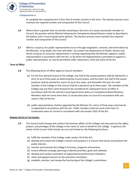

to complete the unexpired term if less than 6 months remains in the term. The election process must maintain the required number and composition of the Council.

- **2.6** Where there is greater than six months remaining in the term of a vacant paramedic member of Council, the position will be filled by following the Competency Based Election model as described in the bylaws and in Council governance policies. The election process must maintain the required number and composition of the Council.
- **2.7** Where a vacancy of a public representative occurs through resignation, removal, and termination by the Minister, or by death, the Chair will either: (a) contact the Department of Health, Seniors and Active Living (or its successor department) in writing requesting that the Minister appoint a public representative in accordance with the Act; or (b) direct the Appointments Committee to appoint a public representative, as may be permitted under subsections 13(3) and 22(2) of the Act.

# **Term of Office**

- **2.8** The following terms of office apply to Council members:
	- (a) For the first elected Council of the College, one-half of the vacant positions shall be elected for a term of up to three years as determined by Council policy, and the other one-half of the vacant positions shall be elected for a term of up to four years, and thereafter the term for each member of the College on the Council shall be a period of up to three years. The members of the College may put their name forward to be considered for subsequent terms of office in accordance with the Act and the Council governance policy on Competency-Based Elections. Members shall not serve more than 12 consecutive years on Council in accordance with subsection 14(2) of the Act
	- (b) public representatives shall be appointed by the Minister for a term of three years and may be re-appointed in accordance with the Act. Public members shall not serve more than 12 consecutive years on Council in accordance with sub-section 14(2) of the Act.

# **GENERAL DUTIES OF THE COUNCIL**

- **2.9** The Council shall manage and conduct the business affairs of the College and may exercise the rights, powers, and privileges of the College in the name of, and on behalf of, the College. In general, the duties of the Council shall include, but are not limited to, the following functions:
	- (a) fulfill the mandate of the College under section 10 of the Act;
	- (b) develop and sustain the College's mission and purpose in a manner that serves and protects the public interest;
	- (c) monitor and evaluate the College's functions, programs and services;
	- (d) ensure effective strategic planning to identify priorities, goals and methods;
	- (e) develop and conduct evaluation of organizational performance indicators;
	- (f) select and appoint persons to the executive committee;
	- (g) establish, monitor, and review the functioning of the College's committees;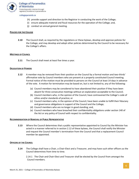

- (h) provide support and direction to the Registrar in conducting the work of the College;
- (i) ensure adequate material and fiscal resources for the operation of the College; and,
- (j) conduct an annual general meeting.

#### **POLICIES FOR THE COLLEGE**

**2.10** The Council shall, as required by the regulations or these bylaws, develop and approve policies for the College, and may develop and adopt other policies determined by the Council to be necessary for the College's affairs.

#### **MEETINGS OF COUNCIL**

**2.11** The Council shall meet at least five times a year.

# **DELEGATION OF POWERS**

- **2.12** A member may be removed from their position on the Council by a formal motion and two-thirds' affirmative vote by Council members who are present at a properly constituted Council meeting. Formal notice of the motion must be provided to persons on the Council at least 14 days in advance of the vote. A motion for termination may be based on, but is not limited to, any of the following:
	- (a) Council members may be considered to have abandoned their position if they have been absent for three consecutive meetings without an explanation acceptable to the Council;
	- (b) Council members who, in the opinion of the Council, have contravened the College's code of ethics and/or standards of practice; or
	- (c) Council members who, in the opinion of the Council, have been unable to fulfill their fiduciary and governance obligations in support of the Council and the College;
	- (d) Council members who are no longer in good standing; and,
	- (e) Council members who have breached their confidentiality obligations under section 140 of the Act or any policy of Council with respect to confidentiality.

# **RECOMMENDATION OF REMOVAL OF PUBLIC REPRESENTATIVE**

**2.13** Where the Council determines that a public representative appointed to Council by the Minister has acted in a manner referred to in section 2.12 of these bylaws, the Council shall notify the Minister and request the Council member's termination from the Council and that a replacement Council member be appointed.

# **OFFICERS OF THE COUNCIL**

**2.14** The College shall have a Chair, a Chair-Elect and a Treasurer, and may have such other officers as the Council determines from time to time.

2.14.1 The Chair and Chair-Elect and Treasurer shall be elected by the Council from amongst the Council members.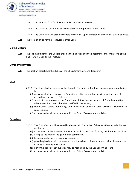

- 2.14.2 The term of office for the Chair and Chair-Elect is two years
- 2.14.3 The Chair and Chair-Elect shall only serve in that position for one term.
- 2.14.4 The Chair-Elect will assume the role of the Chair upon completion of the Chair's term of office.
- **2.15** The term of office for the Treasurer is three years

#### **SIGNING OFFICERS**

**2.16** The signing officers of the College shall be the Registrar and their designate, and/or any one of the Chair, Chair-Elect, or the Treasurer

#### **DUTIES OF THE OFFICERS**

**2.17** This section establishes the duties of the Chair, Chair-Elect, and Treasurer.

#### **CHAIR**

- 2.17.1 The Chair shall be elected by the Council. The duties of the Chair include, but are not limited to:
	- (a) presiding at all meetings of the Council, executive committee, special meetings, and all general meetings of the College;
	- (b) subject to the approval of the Council, appointing the chairpersons of Council committees whose selection is not otherwise specified in the bylaws;
	- (c) representing Council at meetings with government officials or other external stakeholders as required; and,
	- (d) assuming other duties as stipulated in the Council's governance policies.

# **CHAIR-ELECT**

- 2.17.2 The Chair-Elect shall be elected by the Council. The duties of the Chair-Elect include, but are not limited to:
	- (a) in the event of the absence, disability, or death of the Chair, fulfilling the duties of the Chair;
	- (b) acting as the chair of the governance committee ;
	- (c) being a member of the executive committee;
	- (d) providing leadership in the event a committee chair position is vacant until such time as the vacancy is filled by the Council;
	- (e) performing such other duties as may be requested by the Council or Chair; and,
	- (f) assuming other duties as stipulated in the College's governance policies.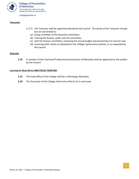

#### **TREASURER**

- 2.17.3 The Treasurer shall be appointed elected by the Council. The duties of the Treasurer include, but are not limited to:
	- (a) being a member of the executive committee;
	- (b) chairing the finance, audit, and risk committee;
	- (c) with the finance committee, reviewing the annual budget and presenting it to Council; and,
	- (d) assuming other duties as stipulated in the College's governance policies, or as requested by the Council.

#### **AUDITORS**

**2.18** A member of the Chartered Professional Accountants of Manitoba shall be appointed as the auditor by the Council.

# **LOCATION OF HEAD OFFICE AND FISCAL YEAR END**

- **2.19** The head office of the College shall be in Winnipeg, Manitoba.
- **2.20** The fiscal year of the College shall end on March 31 in each year.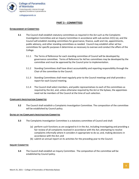

# **PART 3 – COMMITTEES**

#### <span id="page-8-0"></span>**ESTABLISHMENT OF COMMITTEES**

- **3.1** The Council shall establish statutory committees as required in the Act such as the Complaints Investigation Committee and an Inquiry Committee in accordance with sub-section 22(1) (a), and the Council will establish standing committees for governance, finance, audit and risk, appointments, public advisory, and other standing committees as needed. Council may establish other ad hoc committees for specific purposes it determines as necessary to oversee and conduct the affairs of the College.
	- 3.1.1 The Terms of Reference for each standing committee of Council will be developed by governance committee. Terms of Reference for Ad hoc committees may be developed by the committee and must be approved by the Council prior to implementation.
	- 3.1.2 Standing Committees shall have direct accountability and reporting responsibility through the Chair of the committee to the Council.
	- 3.1.3 Standing Committees shall meet regularly prior to the Council meetings and shall provide a report for each Council meeting.
	- 3.1.4 The Council shall select members, and public representatives to each of the committees as required by the Act, and, unless otherwise required by the Act or the bylaws, the appointees need not be members of the Council at the time of such selection.

# **COMPLAINTS INVESTIGATION COMMITTEE**

**3.2** The Council shall establish a Complaints Investigation Committee. The composition of the committee will be established by Council policy.

# **DUTIES OF THE COMPLAINTS INVESTIGATION COMMITTEE**

- **3.3** The Complaints Investigation Committee is a statutory committee of Council and shall:
	- (a) perform such functions as are assigned to it in the Act, including investigating and providing a fair review of all complaints received in accordance with the Act; attempting to resolve complaints informally where it considers it appropriate to do so; and, making decisions in accordance with the Act; and
	- (b) submit an annual report on its activities for the preceding year to the Council.

# **INQUIRY COMMITTEE**

**3.4** The Council shall establish an Inquiry Committee. The composition of the committee will be established by Council policy.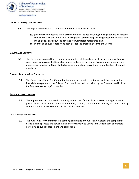

#### **DUTIES OF THE INQUIRY COMMITTEE**

- **3.5** The Inquiry Committee is a statutory committee of council and shall:
	- (a) perform such functions as are assigned to it in the Act including holding hearings on matters referred to it by the Complaints Investigation Committee; providing procedural fairness; and, making decisions about the conduct of investigated registrants; and,
	- (b) submit an annual report on its activities for the preceding year to the Council.

#### **GOVERNANCE COMMITTEE**

**3.6** The Governance committee is a standing committee of Council and shall ensure effective Council governance by advising the Council on matters related to the Council's governance structure and processes, evaluation of Council effectiveness, and includes recruitment and education of Council members.

#### **FINANCE, AUDIT AND RISK COMMITTEE**

**3.7** The Finance, Audit and Risk Committee is a standing committee of Council and shall oversee the financial management of the College. The committee shall be chaired by the Treasurer and include the Registrar as an *ex officio* member.

#### **APPOINTMENTS COMMITTEE**

**3.8** The Appointments Committee is a standing committee of Council and oversees the appointment process to fill vacancies for statutory committees, standing committees of Council, and other standing committees and ad hoc committees of Council as needed.

#### **PUBLIC ADVISORY COMMITTEE**

**3.9** The Public Advisory Committee is a standing committee of Council and oversees the competencybased election process and serves in an advisory capacity to Council and College staff on matters pertaining to public engagement and perception.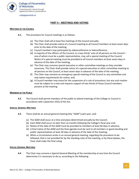

# **PART 4 – MEETINGS AND VOTING**

#### <span id="page-10-0"></span>**MEETINGS OF THE COUNCIL**

- **4.1.** The procedure for Council meetings is as follows:
	- (a) The Chair shall call at least five meetings of the Council annually;
	- (b) The Chair shall provide notice of a Council meeting to all Council members at least seven days prior to the date of the meeting;
	- (c) Council members may participate by videoconference or teleconference;
	- (d) A majority of the officers of the Council, or a two-thirds' vote of all persons on the Council one of whom must be a public representative, may call a special meeting of the Council. Notice of a special meeting must be provided to all Council members at least seven days in advance of the date of the meeting;
	- (e) The Chair may convene special executive or other committee meetings as they consider necessary. The Chair shall provide notice of a special executive or other committee meeting to all persons on the Council, at least seven days in advance of the date of the meeting;
	- (f) The Chair may convene an emergency special meeting of the Council or any committee and may waive requirements for notice; and,
	- (g) A Council member may move for the suspension of a rule of procedure, but any such motion must be subject to a vote and requires support of two-thirds of those Council members present at the meeting

# **MEMBERS OF THE PUBLIC**

**4.2** The Council shall permit members of the public to attend meetings of the College or Council in accordance with subsection 25(5) of the Act.

# **ANNUAL GENERAL MEETINGS**

- **4.3** There shall be an annual general meeting (the "AGM") each year, and:
	- (a) The AGM shall occur at a time and place determined annually by the Council;
	- (b) Each AGM shall occur no later than six months following the College's fiscal year end;
	- (c) Notice of the date of the AGM must be provided to members at least 60 days in advance;
	- (d) A final notice of the AGM and the final agenda must be sent to all members in good standing and public representatives at least 30 days in advance of the date of the meeting;
	- (e) When a circumstance arises in an annual general meeting, regarding the procedure to be followed, that is not provided for by the standing rules of the meeting, or by these bylaws, the Chair shall make the final ruling

# **SPECIAL GENERAL MEETINGS**

**4.4** The Chair may convene a Special General Meeting of the membership at any time the Council determines it is necessary to do so, according to the following: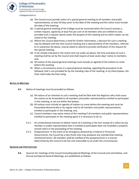

**College of Paramedics** of Manitoba Protecting public interest through regulatory excellence in paramedicine

#### collegeparamb.ca

- (a) The Council must provide notice of a special general meeting to all members and public representatives, at least 30 days prior to the date of the meeting and the notice must include the date of the meeting;
- (b) A special general meeting of the College must be convened when the Council receives a written request, signed by at least five per cent of all members who are entitled to vote, provided such a request clearly states the purpose of the meeting and no other matter can be raised at the meeting;
- (c) Where the Council determines a need for further information, a decision for such a meeting may be delayed until the next Council meeting and a representative of the members, referred to in subsection (b) above, may be asked to attend to provide clarification of the request for the special meeting;
- (d) If not initially indicated in the notice sent out under (a) above, the time and place of such a meeting shall be set by the Council and shall require at least seven days' notice to members; and,
- (e) All notices of the special general meetings must include an agenda of the matters to come before the meeting.
- (f) When a circumstance arises in a special general meeting, regarding the procedure to be followed, that is not provided for by the standing rules of the meeting, or by these bylaws, the Chair shall make the final ruling

# **NOTICE OF MEETINGS**

- **4.5** Notice of meetings must be provided as follows:
	- (a) All notices of an intention to call a meeting shall be filed with the Registrar who shall cause the notices to be forwarded to all members and public representatives entitled to participate in the meeting, as set out within the bylaws;
	- (b) All notices must include an agenda of matters to come before the meeting and must be forwarded electronically or by regular mail to all members and public representatives entitled to participate in the meeting; and,
	- (c) Council members may waive notice of the meeting if all members and public representatives entitled to participate in the meeting agree it is necessary to do so.
	- 4.5.1 An unintentional omission to deliver notice of a meeting or the non-receipt of a notice by any member or public representative who is entitled to participate does not invalidate a properly served notice or the proceeding of the meeting.
	- 4.5.2 Postponement: In the event of an emergency declared by a Federal or Provincial Governments, the Council by a two-thirds vote may postpone any membership meeting mentioned herein. All members shall be notified of the postponement in a manner determined by the Council to be fair and reasonable to all under the circumstances.

# **QUORUM AND PARTICIPATION**

**4.6** Quorum for meetings of the Council (including Special Meetings of the Council) and committees, and Annual and Special General Meetings, are established as follows: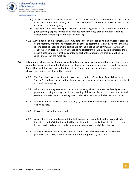

**College of Paramedics** of Manitoba Protecting public interest through regulatory excellence in paramedicine

collegeparamb.ca

- (a) More than half of all Council members, at least one of whom is a public representative and at least one of whom is an officer, shall comprise a quorum for the transaction of business of the Council at the meeting; and,
- (b) A quorum for an Annual or Special Meeting of the College shall be the number of members in good standing, eligible to vote, in attendance at the meeting, provided that at least one officer of the College is present at such a meeting.
- 4.6.1 A member, or public representative, may participate in a meeting by being physically present at the meeting, or by means of telephone or other telecommunication device if the meeting is conducted so that all persons participating in the meeting can communicate with each other. A person participating in a meeting by a telecommunication device is considered to be present at the meeting, shall be counted as part of the quorum, and shall be entitled to speak and vote at the meeting.
- **4.7** All members who are present at duly constituted meetings may vote on a matter brought before any general or special meeting of the College or any Council or committee meeting - if eligible to vote on the matter - with the exception of the Chair of the Council, and the exception of a committee chairperson during a meeting of that committee.
	- 4.7.1 The Chair shall cast a deciding vote in case of a tie vote at Council and Annual General or Special General meetings, and the chairperson shall cast a deciding vote in case of a tie vote at a committee meeting.
	- 4.7.2 All matters requiring a vote must be decided by a majority of the votes cast by eligible voters present and voting at a duly constituted meeting of the Council or a committee, or an Annual General or Special General meeting, unless otherwise specified in the bylaws or in the Act.
	- 4.7.3 Voting on matters must be conducted only by those present and voting at a meeting who are eligible to vote.
	- 4.7.4 Proxy votes will not be permitted.
	- 4.7.5 A vote that is conducted using printed ballots must not accept ballots that do not clearly indicate the voter's intention and will be considered to be a spoiled ballot but will be counted in the overall total and recorded as a separate category of the eligible votes cast.
	- 4.7.6 Voting may be conducted by electronic means established by the College, or by use of a printed mail-in ballot, or combination of methods approved by the Council.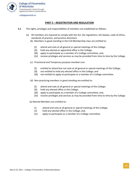

# **PART 5 – REGISTRATION AND REGULATION**

- <span id="page-13-0"></span>**5.1** The rights, privileges and responsibilities of members are established as follows:
	- (a) All members are required to comply with the Act, the regulations, the bylaws, code of ethics, standards of practice, and practice directions
		- (b) Members in good standing in the Full Membership class are entitled to:
			- (i) attend and vote at all general or special meetings of the College;
			- (ii) hold any elected or appointed office in the College;
			- (iii) apply to participate as a member of a College committee; and,
			- (iv) receive privileges and services as may be provided from time to time by the College.
		- (c) Provisional and Temporary purpose members are:
			- (i) entitled to attend but not vote at all general or special meetings of the College;
			- (ii) not entitled to hold any elected office in the College; and
			- (iii) not entitled to apply to participate as a member of a College committee.
		- (d) Non-practicing members in good standing are entitled to:
			- (i) attend and vote at all general or special meetings of the College;
			- (ii) hold any elected office in the College;
			- (iii) apply to participate as a member of a College committee; and,
			- (iv) receive privileges and services as may be provided from time to time by the College.
		- (e) Retired Members are entitled to:
			- (i) attend and vote at all general or special meetings of the College;
			- (ii) hold any elected office in the College; and,
			- (iii) apply to participate as a member of a College committee.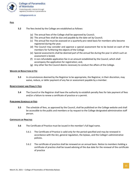

# **FEES**

- **5.2** The fees levied by the College are established as follows:
	- (a) The annual fees of the College shall be approved by Council;
	- (b) The annual fees shall be due and payable by the date set by Council;
	- (c) The annual fee must be assessed on a quarterly pro-rated basis for members who become registered during the year;
	- (d) The Council may consider and approve a special assessment fee to be levied on each of the members for furthering the objects of the College
	- (e) Special assessments shall be deemed part of the annual fee during the year in which such an assessment is levied;
	- (f) A non-refundable application fee in an amount established by the Council, which shall accompany the application for registration; and,
	- (g) Any other fee the Council deems necessary to conduct the affairs of the College.

# **WAIVER OR REDUCTION OF FEE**

**5.3** In circumstances deemed by the Registrar to be appropriate, the Registrar, in their discretion, may waive, reduce, or defer payment of any fee or assessment payable by a member.

#### **REINSTATEMENT AND PENALTY FEES**

**5.4** The Council or the Registrar shall have the authority to establish penalty fees for late payment of fees and/or a failure to renew a certificate of practice or a permit.

# **PUBLISHING SCHEDULE OF FEES**

**5.5** The schedule of fees, as approved by the Council, shall be published on the College website and shall be accessible to the public and members or by request to the College designated administrative staff person.

#### **CERTIFICATE OF PRACTICE**

- **5.6** The Certificate of Practice must be issued in the member's full legal name.
	- 5.6.1 The Certificate of Practice is valid only for the period specified and may be renewed in accordance with the Act, general regulation, the bylaws, and the College's administrative policies.
	- 5.6.2 The certificate of practice shall be renewed on an annual basis. Notice to members holding a certificate of practice shall be issued advising of the due date for the renewal of the certificate of practice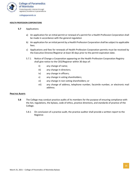

#### **HEALTH PROFESSION CORPORATIONS**

- **5.7** Applications
	- a) An application for an initial permit or renewal of a permit for a Health Profession Corporation shall be made in accordance with the general regulation
	- b) An application for an initial permit by a Health Profession Corporation shall be subject to applicable fees.
	- c) Applications and fees for renewals of Health Profession Corporation permits must be received by the Executive Director/Registrar at least 30 days prior to the permit expiration date.
	- 5.7.1 Notice of Change a Corporation appearing on the Health Profession Corporation Registry shall give notice to the CEO/Registrar within 30 days of:
		- ii) any change of name;
		- iii) any change in directors;
		- iv) any change in officers;
		- v) any change in voting shareholders;
		- vi) any change in non-voting shareholders; or
		- vii) any change of address, telephone number, facsimile number, or electronic mail address.

#### **PRACTICE AUDITS**

- **5.8** The College may conduct practice audits of its members for the purpose of ensuring compliance with the Act, regulations, the bylaws, code of ethics, practice directions, and standards of practice of the College.
	- 5.8.1 On conclusion of a practice audit, the practice auditor shall provide a written report to the Registrar.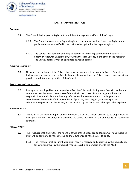

# **PART 6 – ADMINISTRATION**

# <span id="page-16-0"></span>**REGISTRAR**

- **6.1** The Council shall appoint a Registrar to administer the regulatory affairs of the College.
	- 6.1.1. The Council may appoint a Deputy Registrar to act under the direction of the Registrar and perform the duties specified in the position description for the Deputy Registrar.
	- 6.1.2. The Council shall have the authority to appoint an Acting Registrar when the Registrar is absent or otherwise unable to act, or when there is a vacancy in the office of the Registrar. The Deputy Registrar may be appointed as Acting Registrar.

# **EXECUTIVE LIMITATIONS**

**6.2** No agents or employees of the College shall have any authority to act on behalf of the Council or College except as provided in the Act, the bylaws, the regulations, the College's governance policies or position descriptions, or by motion of the Council.

# **PROTECTION OF CONFIDENTIALITY**

**6.3** Every person employed by, or acting on behalf of, the College – including every Council member and committee member - must preserve confidentiality in the course of conducting their duties and responsibilities and shall not disclose any information that comes to their knowledge except in accordance with the code of ethics, standards of practice, the College's governance policies, administrative policies and the bylaws, and as required by the Act, or any other applicable legislation.

# **FINANCIAL REPORTS**

**6.4** The Registrar shall cause a report and statement of the College's financial status to be prepared, with oversight from the Treasurer, and provided to the Council at any of its regular meetings for review and approval.

# **ANNUAL AUDITS**

- **6.5** The Treasurer shall ensure that the financial affairs of the College are audited annually and that such audit will be completed by the external auditors authorized by the Council to do so.
	- 6.5.1 The Treasurer shall ensure that an audit report is received and approved by the Council and, following approval by the Council, made accessible to members prior to the AGM.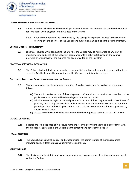

#### **COUNCIL MEMBERS – REMUNERATION AND EXPENSES**

- **6.6** Council members shall be paid by the College, in accordance with a policy established by the Council, for time spent while engaged in the business of the Council.
	- 6.6.1 Council members shall be reimbursed by the College for expenses incurred in the course of carrying out the business of the Council and subsection 6.10 applies to this reimbursement.

#### **BUSINESS EXPENSES REIMBURSEMENT**

**6.7** Expenses incurred while conducting the affairs of the College may be reimbursed to any staff or member acting on behalf of the College in accordance with a policy established by the Council provided prior approval for the expense has been provided by the Registrar.

#### **PROTECTION OF PERSONAL INFORMATION**

**6.8** The College shall not disclose any member's personal information unless required or permitted to do so by the Act, the bylaws, the regulations, or the College's administrative policies.

#### **DISCLOSURE, ACCESS, AND RETENTION OF ADMINISTRATIVE RECORDS**

- **6.9** The procedures for the disclosure and retention of, and access to, administrative records, are as follows:
	- (a) The administrative records of the College are confidential and not available to members of the public except as published by the College or required by the Act
	- (b) All administrative, registration, and procedural records of the College, as well as certificates of practice, shall be kept in an orderly and current manner and stored in a secure location for a period specified in the College's administrative policies except where otherwise governed by applicable legislation.
	- (c) Access to the records shall be administered by the designated administrative staff person.

# **DISPOSAL OF RECORDS**

**6.10** Records are to be disposed of in a secure manner preserving confidentiality and in accordance with the procedures stipulated in the College's administrative and governance policies.

# **HUMAN RESOURCES**

**6.11** The Council shall establish policies and procedures for the administration of human resources, including position descriptions and performance appraisals.

#### **SALARY SCHEDULE**

**6.12** The Registrar shall maintain a salary schedule and benefits program for all positions of employment within the College.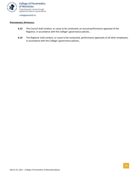

#### **PERFORMANCE APPRAISALS**

- **6.13** The Council shall conduct, or cause to be conducted, an annual performance appraisal of the Registrar, in accordance with the College's governance policies.,
- **6.14** The Registrar shall conduct, or cause to be conducted, performance appraisals of all other employees, in accordance with the College's governance policies.,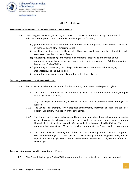

# **PART 7 – GENERAL**

#### <span id="page-19-0"></span>**PROMOTION OF THE WELFARE OF THE MEMBERS AND THE PROFESSION**

- **7.1** The College may develop, maintain, and publish practice expectations or policy statements of relevance to the profession of paramedicine relating to the following:
	- (a) promoting the ability of members to respond to changes in practice environments, advances in technology and other emerging issues;
	- (b) working to achieve access for the people of Manitoba to adequate numbers of qualified and competent members of the profession;
	- (c) developing, establishing, and maintaining programs that provide information about paramedicine, and that assist persons in exercising their rights under the Act, the regulations, bylaws. and Code of Ethics;
	- (d) promoting and enhancing the College's relations with its members, other colleges, stakeholders, and the public; and,
	- (e) promoting inter-professional collaboration with other colleges

#### **APPROVAL, AMENDMENTS AND REPEAL OF BYLAWS**

- **7.2** This section establishes the procedures for the approval, amendment, and repeal of bylaws.
	- 7.2.1 The Council, a committee, or any member may propose an amendment, enactment, or repeal to the bylaws of the College
	- 7.2.2 Any such proposed amendment, enactment or repeal shall first be submitted in writing to the Registrar
	- 7.2.3 The Council shall promptly review proposed amendments, enactment or repeal and consider approval, rejection, or variation of the amendment
	- 7.2.4 The Council shall provide each proposed bylaw or an amendment to a bylaw or provide notice of intent to repeal a bylaw or a provision of a bylaw, to the members for review and comment through electronic publication on the College website or by request to the College. The members shall have at least 30 days to provide comments to the Council for its consideration
	- 7.2.5 The Council may, by a majority vote of those present and voting on the matter at a properly constituted meeting of the Council, or by a special meeting of members, provisionally amend, repeal, or enact any bylaw consistent with the accomplishment of the objects and affairs of the College

# **APPROVAL, AMENDMENT AND REPEAL OF CODE OF ETHICS**

**7.3** The Council shall adopt a Code of Ethics as a standard for the professional conduct of paramedics